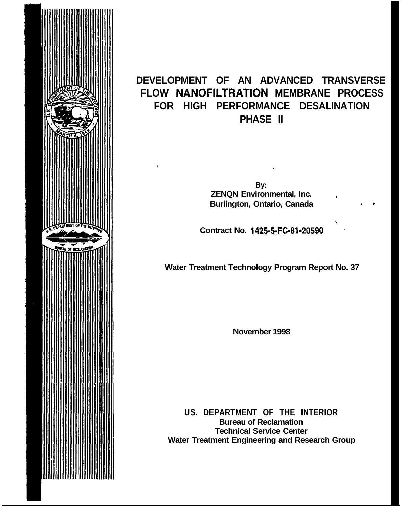

# **DEVELOPMENT OF AN ADVANCED TRANSVERSE FLOW NANOFILTRATION MEMBRANE PROCESS FOR HIGH PERFORMANCE DESALINATION PHASE II**

**By: ZENQN Environmental, Inc. - Burlington, Ontario, Canada** 

.

**Contract No. 1425-5-FC-81-20590** 

**Water Treatment Technology Program Report No. 37**

**November 1998**

**US. DEPARTMENT OF THE INTERIOR Bureau of Reclamation Technical Service Center Water Treatment Engineering and Research Group**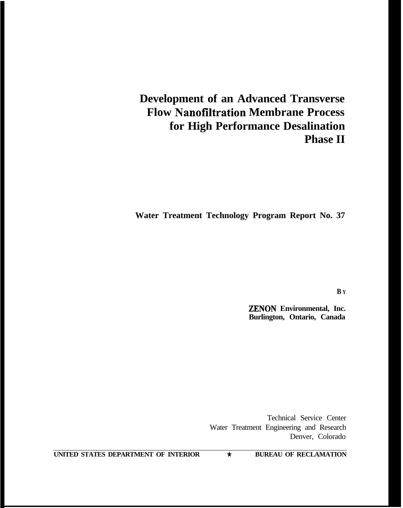# **Development of an Advanced Transverse Flow Nanofiltration Membrane Process for High Performance Desalination Phase II**

**Water Treatment Technology Program Report No. 37**

**B Y**

**ZENON Environmental, Inc. Burlington, Ontario, Canada**

Technical Service Center Water Treatment Engineering and Research Denver, Colorado

**UNITED STATES DEPARTMENT OF INTERIOR \* BUREAU OF RECLAMATION**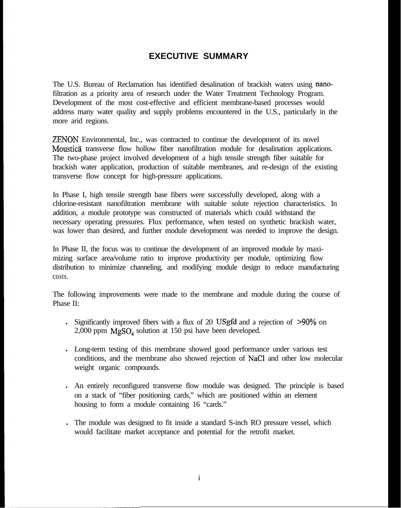#### **EXECUTIVE SUMMARY**

The U.S. Bureau of Reclamation has identified desalination of brackish waters using nanofiltration as a priority area of research under the Water Treatment Technology Program. Development of the most cost-effective and efficient membrane-based processes would address many water quality and supply problems encountered in the U.S., particularly in the more arid regions.

ZENON Environmental, Inc., was contracted to continue the development of its novel Mousticä transverse flow hollow fiber nanofiltration module for desalination applications. The two-phase project involved development of a high tensile strength fiber suitable for brackish water application, production of suitable membranes, and re-design of the existing transverse flow concept for high-pressure applications.

In Phase I, high tensile strength base fibers were successfully developed, along with a chlorine-resistant nanofiltration membrane with suitable solute rejection characteristics. In addition, a module prototype was constructed of materials which could withstand the necessary operating pressures. Flux performance, when tested on synthetic brackish water, was lower than desired, and further module development was needed to improve the design.

In Phase II, the focus was to continue the development of an improved module by maximizing surface area/volume ratio to improve productivity per module, optimizing flow distribution to minimize channeling, and modifying module design to reduce manufacturing costs.

The following improvements were made to the membrane and module during the course of Phase II:

- If Significantly improved fibers with a flux of 20 USgfd and a rejection of  $\geq 90\%$  on 2,000 ppm MgSO, solution at 150 psi have been developed.
- <sup>l</sup> Long-term testing of this membrane showed good performance under various test conditions, and the membrane also showed rejection of NaCl and other low molecular weight organic compounds.
- <sup>l</sup> An entirely reconfigured transverse flow module was designed. The principle is based on a stack of "fiber positioning cards," which are positioned within an element housing to form a module containing 16 "cards."
- <sup>l</sup> The module was designed to fit inside a standard S-inch RO pressure vessel, which would facilitate market acceptance and potential for the retrofit market.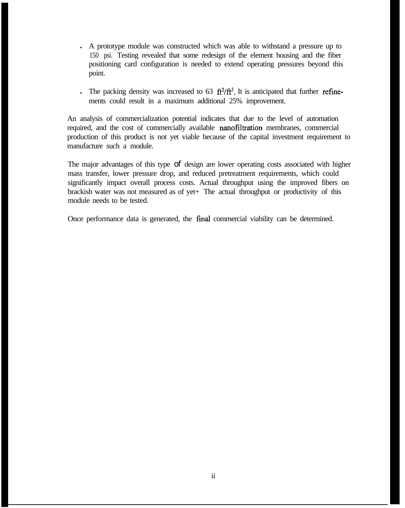- <sup>l</sup> A prototype module was constructed which was able to withstand a pressure up to 150 psi. Testing revealed that some redesign of the element housing and the fiber positioning card configuration is needed to extend operating pressures beyond this point.
- In The packing density was increased to 63  $ft^2/tt^3$ . It is anticipated that further refinements could result in a maximum additional 25% improvement.

An analysis of commercialization potential indicates that due to the level of automation required, and the cost of commercially available nanofiltration membranes, commercial production of this product is not yet viable because of the capital investment requirement to manufacture such a module.

The major advantages of this type of design are lower operating costs associated with higher mass transfer, lower pressure drop, and reduced pretreatment requirements, which could significantly impact overall process costs. Actual throughput using the improved fibers on brackish water was not measured as of yet+ The actual throughput or productivity of this module needs to be tested.

Once performance data is generated, the tinal commercial viability can be determined.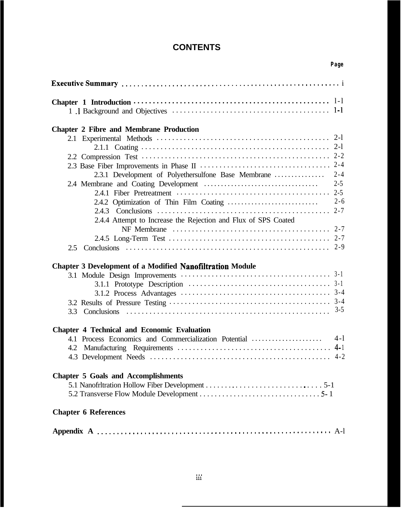#### **CONTENTS**

| <b>Chapter 2 Fibre and Membrane Production</b>                                                                                                                  |         |
|-----------------------------------------------------------------------------------------------------------------------------------------------------------------|---------|
| $2-I$<br>$2-1$<br>$2 - 4$<br>$2 - 4$<br>2.3.1 Development of Polyethersulfone Base Membrane<br>$2 - 5$<br>$2 - 6$                                               |         |
| $2 - 7$                                                                                                                                                         |         |
| 2.4.4 Attempt to Increase the Rejection and Flux of SPS Coated<br>$2 - 7$<br>$2 - 9$<br>2.5<br><b>Chapter 3 Development of a Modified Nanofiltration Module</b> |         |
|                                                                                                                                                                 |         |
| $3 - 5$                                                                                                                                                         |         |
| <b>Chapter 4 Technical and Economic Evaluation</b>                                                                                                              |         |
| $4-1$<br>4.1 Process Economics and Commercialization Potential<br>$4 - 1$<br>4.2                                                                                | $4 - 2$ |
| <b>Chapter 5 Goals and Accomplishments</b>                                                                                                                      |         |
| <b>Chapter 6 References</b>                                                                                                                                     |         |
|                                                                                                                                                                 |         |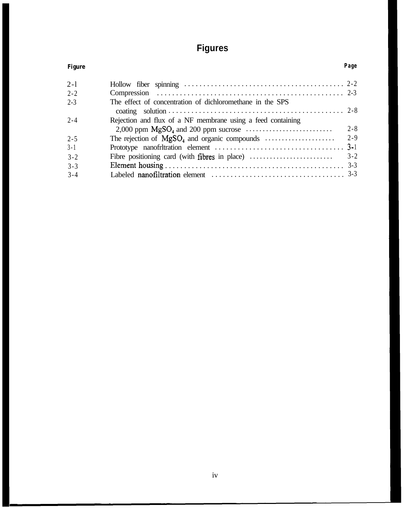# **Figures**

| <b>Figure</b> |                                                                                     | Page    |
|---------------|-------------------------------------------------------------------------------------|---------|
| $2-1$         |                                                                                     |         |
| $2 - 2$       |                                                                                     |         |
| $2 - 3$       | The effect of concentration of dichloromethane in the SPS                           |         |
| $2 - 4$       | Rejection and flux of a NF membrane using a feed containing                         | $2 - 8$ |
| $2 - 5$       |                                                                                     | $2 - 9$ |
| $3 - 1$       |                                                                                     |         |
| $3 - 2$       | Fibre positioning card (with fibres in place) $\dots\dots\dots\dots\dots\dots\dots$ | $3 - 2$ |
| $3 - 3$       |                                                                                     |         |
| $3 - 4$       |                                                                                     |         |
|               |                                                                                     |         |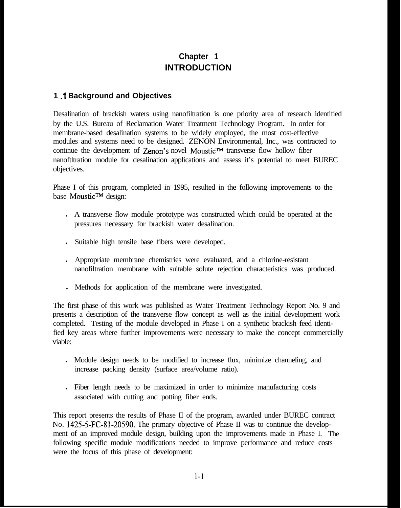# **Chapter 1 INTRODUCTION**

#### **1 .l Background and Objectives**

Desalination of brackish waters using nanofiltration is one priority area of research identified by the U.S. Bureau of Reclamation Water Treatment Technology Program. In order for membrane-based desalination systems to be widely employed, the most cost-effective modules and systems need to be designed. ZENON Environmental, Inc., was contracted to continue the development of  $\text{Zenon's novel Moustic}^{\mathsf{TM}}$  transverse flow hollow fiber nanoftltration module for desalination applications and assess it's potential to meet BUREC objectives.

Phase I of this program, completed in 1995, resulted in the following improvements to the base Moustic™ design:

- <sup>l</sup> A transverse flow module prototype was constructed which could be operated at the pressures necessary for brackish water desalination.
- . Suitable high tensile base fibers were developed.
- <sup>l</sup> Appropriate membrane chemistries were evaluated, and a chlorine-resistant nanofiltration membrane with suitable solute rejection characteristics was produced.
- . Methods for application of the membrane were investigated.

The first phase of this work was published as Water Treatment Technology Report No. 9 and presents a description of the transverse flow concept as well as the initial development work completed. Testing of the module developed in Phase I on a synthetic brackish feed identified key areas where further improvements were necessary to make the concept commercially viable:

- . Module design needs to be modified to increase flux, minimize channeling, and increase packing density (surface area/volume ratio).
- <sup>l</sup> Fiber length needs to be maximized in order to minimize manufacturing costs associated with cutting and potting fiber ends.

This report presents the results of Phase II of the program, awarded under BUREC contract No. 1425-5-FC-81-20590. The primary objective of Phase II was to continue the development of an improved module design, building upon the improvements made in Phase I. The following specific module modifications needed to improve performance and reduce costs were the focus of this phase of development: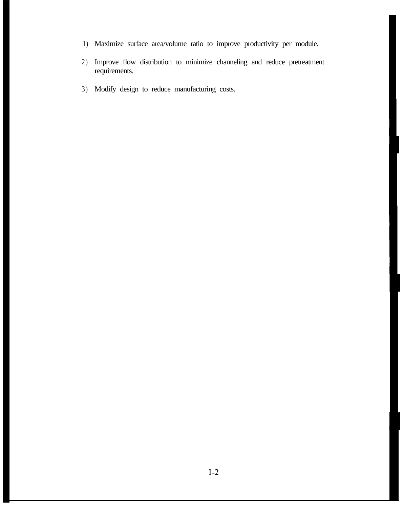- 1) Maximize surface area/volume ratio to improve productivity per module.
- 2) Improve flow distribution to minimize channeling and reduce pretreatment requirements.
- 3) Modify design to reduce manufacturing costs.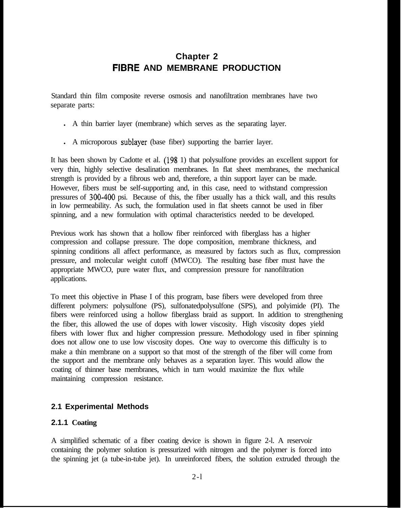## **Chapter 2 FIBRE AND MEMBRANE PRODUCTION**

Standard thin film composite reverse osmosis and nanofiltration membranes have two separate parts:

- A thin barrier layer (membrane) which serves as the separating layer.
- A microporous sublayer (base fiber) supporting the barrier layer.

It has been shown by Cadotte et al. (198 1) that polysulfone provides an excellent support for very thin, highly selective desalination membranes. In flat sheet membranes, the mechanical strength is provided by a fibrous web and, therefore, a thin support layer can be made. However, fibers must be self-supporting and, in this case, need to withstand compression pressures of 300-400 psi. Because of this, the fiber usually has a thick wall, and this results in low permeability. As such, the formulation used in flat sheets cannot be used in fiber spinning, and a new formulation with optimal characteristics needed to be developed.

Previous work has shown that a hollow fiber reinforced with fiberglass has a higher compression and collapse pressure. The dope composition, membrane thickness, and spinning conditions all affect performance, as measured by factors such as flux, compression pressure, and molecular weight cutoff (MWCO). The resulting base fiber must have the appropriate MWCO, pure water flux, and compression pressure for nanofiltration applications.

To meet this objective in Phase I of this program, base fibers were developed from three different polymers: polysulfone (PS), sulfonatedpolysulfone (SPS), and polyimide (PI). The fibers were reinforced using a hollow fiberglass braid as support. In addition to strengthening the fiber, this allowed the use of dopes with lower viscosity. High viscosity dopes yield fibers with lower flux and higher compression pressure. Methodology used in fiber spinning does not allow one to use low viscosity dopes. One way to overcome this difficulty is to make a thin membrane on a support so that most of the strength of the fiber will come from the support and the membrane only behaves as a separation layer. This would allow the coating of thinner base membranes, which in turn would maximize the flux while maintaining compression resistance.

#### **2.1 Experimental Methods**

#### **2.1.1 Coating**

A simplified schematic of a fiber coating device is shown in figure 2-l. A reservoir containing the polymer solution is pressurized with nitrogen and the polymer is forced into the spinning jet (a tube-in-tube jet). In unreinforced fibers, the solution extruded through the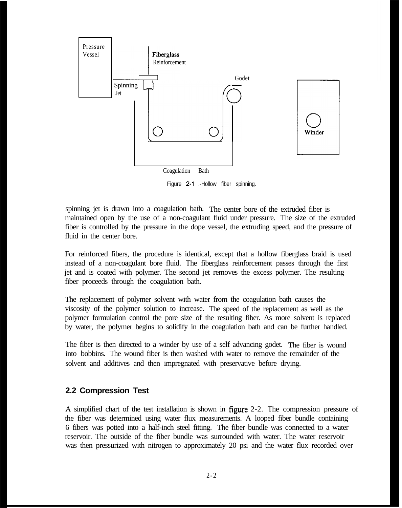

Figure 2-1 .-Hollow fiber spinning.

spinning jet is drawn into a coagulation bath. The center bore of the extruded fiber is maintained open by the use of a non-coagulant fluid under pressure. The size of the extruded fiber is controlled by the pressure in the dope vessel, the extruding speed, and the pressure of fluid in the center bore.

For reinforced fibers, the procedure is identical, except that a hollow fiberglass braid is used instead of a non-coagulant bore fluid. The fiberglass reinforcement passes through the first jet and is coated with polymer. The second jet removes the excess polymer. The resulting fiber proceeds through the coagulation bath.

The replacement of polymer solvent with water from the coagulation bath causes the viscosity of the polymer solution to increase. The speed of the replacement as well as the polymer formulation control the pore size of the resulting fiber. As more solvent is replaced by water, the polymer begins to solidify in the coagulation bath and can be further handled.

The fiber is then directed to a winder by use of a self advancing godet. The fiber is wound into bobbins. The wound fiber is then washed with water to remove the remainder of the solvent and additives and then impregnated with preservative before drying.

#### **2.2 Compression Test**

A simplified chart of the test installation is shown in figure 2-2. The compression pressure of the fiber was determined using water flux measurements. A looped fiber bundle containing 6 fibers was potted into a half-inch steel fitting. The fiber bundle was connected to a water reservoir. The outside of the fiber bundle was surrounded with water. The water reservoir was then pressurized with nitrogen to approximately 20 psi and the water flux recorded over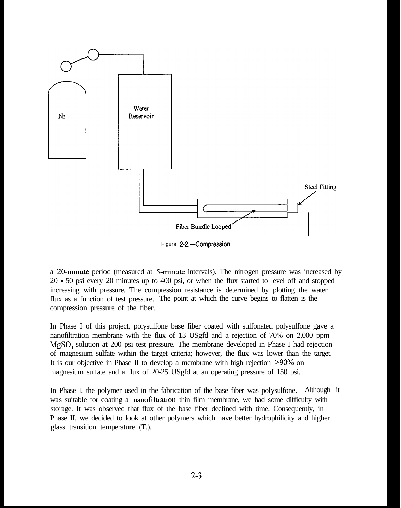

Figure 2-2.~-Compression.

a 20-minute period (measured at 5-minute intervals). The nitrogen pressure was increased by 20 - 50 psi every 20 minutes up to 400 psi, or when the flux started to level off and stopped increasing with pressure. The compression resistance is determined by plotting the water flux as a function of test pressure. The point at which the curve begins to flatten is the compression pressure of the fiber.

In Phase I of this project, polysulfone base fiber coated with sulfonated polysulfone gave a nanofiltration membrane with the flux of 13 USgfd and a rejection of 70% on 2,000 ppm MgSO, solution at 200 psi test pressure. The membrane developed in Phase I had rejection of magnesium sulfate within the target criteria; however, the flux was lower than the target. It is our objective in Phase II to develop a membrane with high rejection ~90% on magnesium sulfate and a flux of 20-25 USgfd at an operating pressure of 150 psi.

In Phase I, the polymer used in the fabrication of the base fiber was polysulfone. Although it was suitable for coating a **nanofiltration** thin film membrane, we had some difficulty with storage. It was observed that flux of the base fiber declined with time. Consequently, in Phase II, we decided to look at other polymers which have better hydrophilicity and higher glass transition temperature (T,).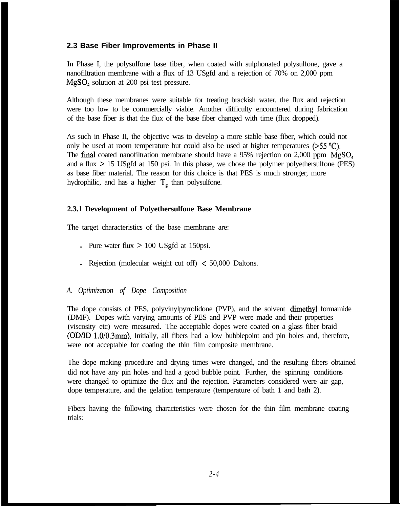#### **2.3 Base Fiber Improvements in Phase II**

In Phase I, the polysulfone base fiber, when coated with sulphonated polysulfone, gave a nanofiltration membrane with a flux of 13 USgfd and a rejection of 70% on 2,000 ppm MgSO, solution at 200 psi test pressure.

Although these membranes were suitable for treating brackish water, the flux and rejection were too low to be commercially viable. Another difficulty encountered during fabrication of the base fiber is that the flux of the base fiber changed with time (flux dropped).

As such in Phase II, the objective was to develop a more stable base fiber, which could not only be used at room temperature but could also be used at higher temperatures  $(>55 \degree C)$ . The final coated nanofiltration membrane should have a 95% rejection on 2,000 ppm  $MgSO<sub>4</sub>$ and a flux > 15 USgfd at 150 psi. In this phase, we chose the polymer polyethersulfone (PES) as base fiber material. The reason for this choice is that PES is much stronger, more hydrophilic, and has a higher  $T<sub>e</sub>$  than polysulfone.

#### **2.3.1 Development of Polyethersulfone Base Membrane**

The target characteristics of the base membrane are:

- If Pure water flux  $> 100$  USgfd at 150psi.
- l Rejection (molecular weight cut off)  $\leq 50,000$  Daltons.

#### *A. Optimization of Dope Composition*

The dope consists of PES, polyvinylpyrrolidone (PVP), and the solvent dimethyl formamide (DMF). Dopes with varying amounts of PES and PVP were made and their properties (viscosity etc) were measured. The acceptable dopes were coated on a glass fiber braid (OD/ID 1.0/0.3mm). Initially, all fibers had a low bubblepoint and pin holes and, therefore, were not acceptable for coating the thin film composite membrane.

The dope making procedure and drying times were changed, and the resulting fibers obtained did not have any pin holes and had a good bubble point. Further, the spinning conditions were changed to optimize the flux and the rejection. Parameters considered were air gap, dope temperature, and the gelation temperature (temperature of bath 1 and bath 2).

Fibers having the following characteristics were chosen for the thin film membrane coating trials: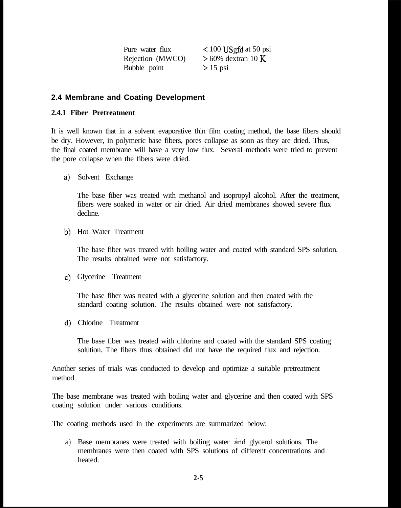Pure water flux < 100 USgfd at 50 psi Rejection (MWCO)  $> 60\%$  dextran 10 K Bubble point > 15 psi

#### **2.4 Membrane and Coating Development**

#### **2.4.1 Fiber Pretreatment**

It is well known that in a solvent evaporative thin film coating method, the base fibers should be dry. However, in polymeric base fibers, pores collapse as soon as they are dried. Thus, the final coated membrane will have a very low flux. Several methods were tried to prevent the pore collapse when the fibers were dried.

**a>** Solvent Exchange

The base fiber was treated with methanol and isopropyl alcohol. After the treatment, fibers were soaked in water or air dried. Air dried membranes showed severe flux decline.

**b)** Hot Water Treatment

The base fiber was treated with boiling water and coated with standard SPS solution. The results obtained were not satisfactory.

**C>** Glycerine Treatment

The base fiber was treated with a glycerine solution and then coated with the standard coating solution. The results obtained were not satisfactory.

**d)** Chlorine Treatment

The base fiber was treated with chlorine and coated with the standard SPS coating solution. The fibers thus obtained did not have the required flux and rejection.

Another series of trials was conducted to develop and optimize a suitable pretreatment method.

The base membrane was treated with boiling water and glycerine and then coated with SPS coating solution under various conditions.

The coating methods used in the experiments are summarized below:

a) Base membranes were treated with boiling water and glycerol solutions. The membranes were then coated with SPS solutions of different concentrations and heated.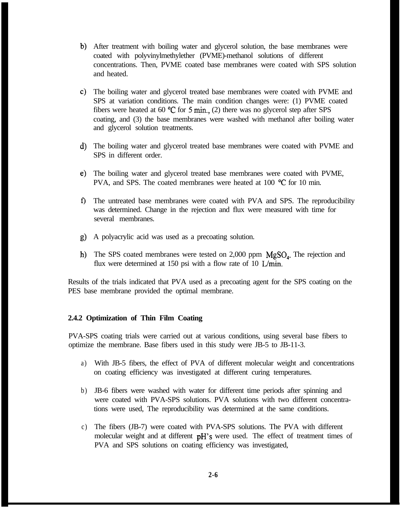- b) After treatment with boiling water and glycerol solution, the base membranes were coated with polyvinylmethylether (PVME)-methanol solutions of different concentrations. Then, PVME coated base membranes were coated with SPS solution and heated.
- c) The boiling water and glycerol treated base membranes were coated with PVME and SPS at variation conditions. The main condition changes were: (1) PVME coated fibers were heated at 60  $\degree$ C for 5 min., (2) there was no glycerol step after SPS coating, and (3) the base membranes were washed with methanol after boiling water and glycerol solution treatments.
- d) The boiling water and glycerol treated base membranes were coated with PVME and SPS in different order.
- e) The boiling water and glycerol treated base membranes were coated with PVME, PVA, and SPS. The coated membranes were heated at 100 °C for 10 min.
- The untreated base membranes were coated with PVA and SPS. The reproducibility was determined. Change in the rejection and flux were measured with time for several membranes.
- g) A polyacrylic acid was used as a precoating solution.
- h) The SPS coated membranes were tested on 2,000 ppm  $MgSO<sub>4</sub>$ . The rejection and flux were determined at 150 psi with a flow rate of 10 L/min.

Results of the trials indicated that PVA used as a precoating agent for the SPS coating on the PES base membrane provided the optimal membrane.

#### **2.4.2 Optimization of Thin Film Coating**

PVA-SPS coating trials were carried out at various conditions, using several base fibers to optimize the membrane. Base fibers used in this study were JB-5 to JB-11-3.

- a) With JB-5 fibers, the effect of PVA of different molecular weight and concentrations on coating efficiency was investigated at different curing temperatures.
- b) JB-6 fibers were washed with water for different time periods after spinning and were coated with PVA-SPS solutions. PVA solutions with two different concentrations were used, The reproducibility was determined at the same conditions.
- c) The fibers (JB-7) were coated with PVA-SPS solutions. The PVA with different molecular weight and at different pH's were used. The effect of treatment times of PVA and SPS solutions on coating efficiency was investigated,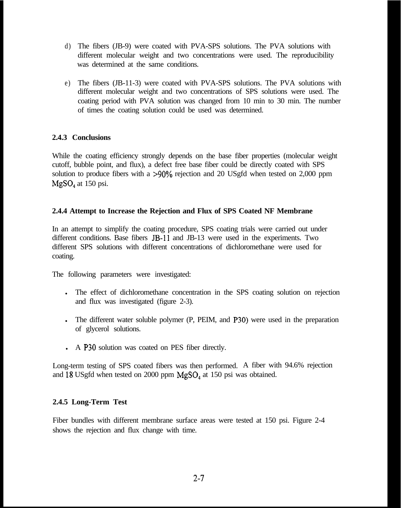- d) The fibers (JB-9) were coated with PVA-SPS solutions. The PVA solutions with different molecular weight and two concentrations were used. The reproducibility was determined at the same conditions.
- e) The fibers (JB-11-3) were coated with PVA-SPS solutions. The PVA solutions with different molecular weight and two concentrations of SPS solutions were used. The coating period with PVA solution was changed from 10 min to 30 min. The number of times the coating solution could be used was determined.

#### **2.4.3 Conclusions**

While the coating efficiency strongly depends on the base fiber properties (molecular weight cutoff, bubble point, and flux), a defect free base fiber could be directly coated with SPS solution to produce fibers with a  $>90\%$  rejection and 20 USgfd when tested on 2,000 ppm  $MgSO<sub>4</sub>$  at 150 psi.

#### **2.4.4 Attempt to Increase the Rejection and Flux of SPS Coated NF Membrane**

In an attempt to simplify the coating procedure, SPS coating trials were carried out under different conditions. Base fibers JB-11 and JB-13 were used in the experiments. Two different SPS solutions with different concentrations of dichloromethane were used for coating.

The following parameters were investigated:

- In The effect of dichloromethane concentration in the SPS coating solution on rejection and flux was investigated (figure 2-3).
- In The different water soluble polymer (P, PEIM, and P30) were used in the preparation of glycerol solutions.
- A P30 solution was coated on PES fiber directly.

Long-term testing of SPS coated fibers was then performed. A fiber with 94.6% rejection and 18 USgfd when tested on 2000 ppm  $MgSO<sub>4</sub>$  at 150 psi was obtained.

#### **2.4.5 Long-Term Test**

Fiber bundles with different membrane surface areas were tested at 150 psi. Figure 2-4 shows the rejection and flux change with time.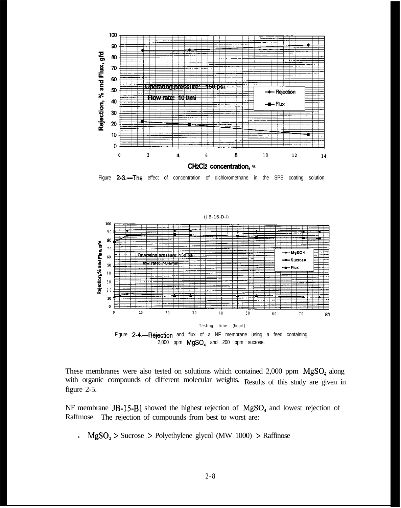

Figure 2-3.-The effect of concentration of dichloromethane in the SPS coating solution.



These membranes were also tested on solutions which contained  $2,000$  ppm  $MgSO<sub>4</sub>$  along with organic compounds of different molecular weights. Results of this study are given in figure 2-5.

NF membrane JB-15-B1 showed the highest rejection of MgSO<sub>4</sub> and lowest rejection of Raffmose. The rejection of compounds from best to worst are:

**.**  $MgSO<sub>4</sub> >$  Sucrose > Polyethylene glycol (MW 1000) > Raffinose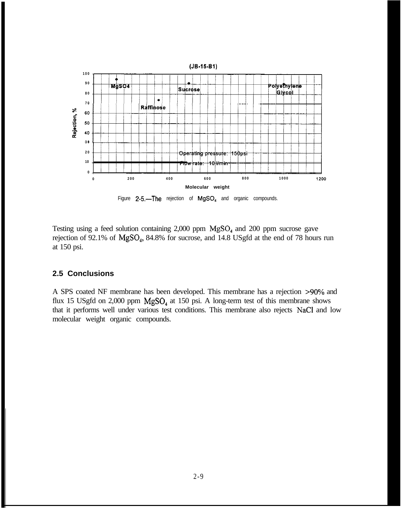

Figure  $2-5$ .-The rejection of MgSO<sub>4</sub> and organic compounds.

Testing using a feed solution containing  $2,000$  ppm  $MgSO<sub>4</sub>$  and  $200$  ppm sucrose gave rejection of 92.1% of  $MgSO_4$ , 84.8% for sucrose, and 14.8 USgfd at the end of 78 hours run at 150 psi.

#### **2.5 Conclusions**

A SPS coated NF membrane has been developed. This membrane has a rejection >90% and flux 15 USgfd on 2,000 ppm  $MgSO<sub>4</sub>$  at 150 psi. A long-term test of this membrane shows that it performs well under various test conditions. This membrane also rejects NaCl and low molecular weight organic compounds.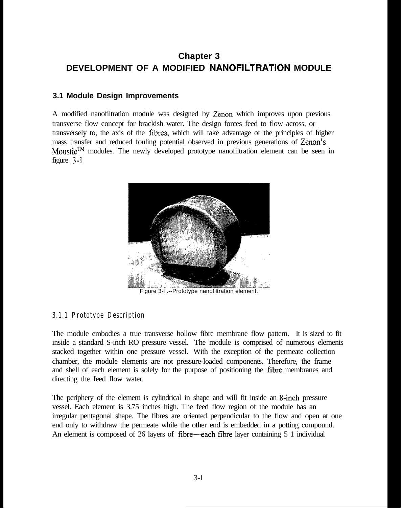# **Chapter 3 DEVELOPMENT OF A MODIFIED NANOFILTRATION MODULE**

#### **3.1 Module Design Improvements**

A modified nanofiltration module was designed by Zenon which improves upon previous transverse flow concept for brackish water. The design forces feed to flow across, or transversely to, the axis of the fibres, which will take advantage of the principles of higher mass transfer and reduced fouling potential observed in previous generations of Zenon's Moustic<sup>TM</sup> modules. The newly developed prototype nanofiltration element can be seen in figure 3-l



Figure 3-l .--Prototype nanofiltration element.

#### **3.1.1 Prototype Description**

The module embodies a true transverse hollow fibre membrane flow pattern. It is sized to fit inside a standard S-inch RO pressure vessel. The module is comprised of numerous elements stacked together within one pressure vessel. With the exception of the permeate collection chamber, the module elements are not pressure-loaded components. Therefore, the frame and shell of each element is solely for the purpose of positioning the fibre membranes and directing the feed flow water.

The periphery of the element is cylindrical in shape and will fit inside an 8-inch pressure vessel. Each element is 3.75 inches high. The feed flow region of the module has an irregular pentagonal shape. The fibres are oriented perpendicular to the flow and open at one end only to withdraw the permeate while the other end is embedded in a potting compound. An element is composed of 26 layers of fibre—each fibre layer containing 5 1 individual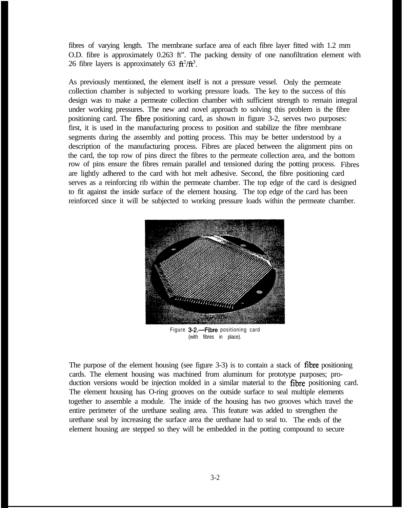fibres of varying length. The membrane surface area of each fibre layer fitted with 1.2 mm O.D. fibre is approximately 0.263 ft". The packing density of one nanofiltration element with 26 fibre layers is approximately 63  $\text{ft}^2/\text{ft}^3$ .

As previously mentioned, the element itself is not a pressure vessel. Only the permeate collection chamber is subjected to working pressure loads. The key to the success of this design was to make a permeate collection chamber with sufficient strength to remain integral under working pressures. The new and novel approach to solving this problem is the fibre positioning card. The fibre positioning card, as shown in figure 3-2, serves two purposes: first, it is used in the manufacturing process to position and stabilize the fibre membrane segments during the assembly and potting process. This may be better understood by a description of the manufacturing process. Fibres are placed between the alignment pins on the card, the top row of pins direct the fibres to the permeate collection area, and the bottom row of pins ensure the fibres remain parallel and tensioned during the potting process. Fibres are lightly adhered to the card with hot melt adhesive. Second, the fibre positioning card serves as a reinforcing rib within the permeate chamber. The top edge of the card is designed to fit against the inside surface of the element housing. The top edge of the card has been reinforced since it will be subjected to working pressure loads within the permeate chamber.



Figure 3-2.-Fibre positioning card (with fibres in place).

The purpose of the element housing (see figure  $3-3$ ) is to contain a stack of fibre positioning cards. The element housing was machined from aluminum for prototype purposes; production versions would be injection molded in a similar material to the fibre positioning card. The element housing has O-ring grooves on the outside surface to seal multiple elements together to assemble a module. The inside of the housing has two grooves which travel the entire perimeter of the urethane sealing area. This feature was added to strengthen the urethane seal by increasing the surface area the urethane had to seal to. The ends of the element housing are stepped so they will be embedded in the potting compound to secure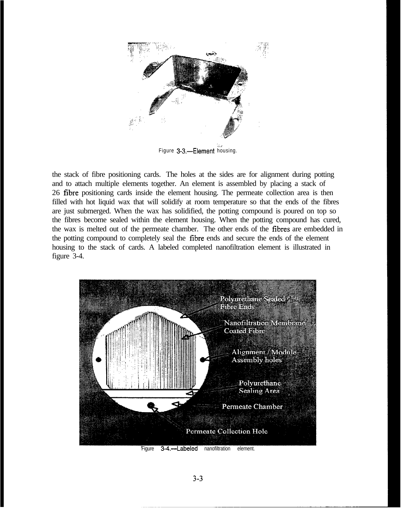

Figure 3-3.-Element housing.

the stack of fibre positioning cards. The holes at the sides are for alignment during potting and to attach multiple elements together. An element is assembled by placing a stack of 26 fibre positioning cards inside the element housing. The permeate collection area is then filled with hot liquid wax that will solidify at room temperature so that the ends of the fibres are just submerged. When the wax has solidified, the potting compound is poured on top so the fibres become sealed within the element housing. When the potting compound has cured, the wax is melted out of the permeate chamber. The other ends of the frbres are embedded in the potting compound to completely seal the frbre ends and secure the ends of the element housing to the stack of cards. A labeled completed nanofiltration element is illustrated in figure 3-4.



Figure 3-4.--Labeled nanofiltration element.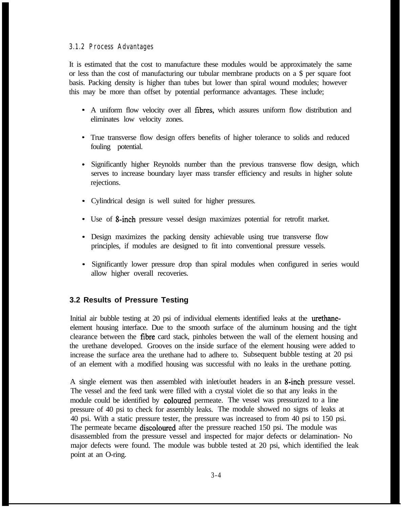#### **3.1.2 Process Advantages**

It is estimated that the cost to manufacture these modules would be approximately the same or less than the cost of manufacturing our tubular membrane products on a \$ per square foot basis. Packing density is higher than tubes but lower than spiral wound modules; however this may be more than offset by potential performance advantages. These include;

- A uniform flow velocity over all fibres, which assures uniform flow distribution and eliminates low velocity zones.
- True transverse flow design offers benefits of higher tolerance to solids and reduced fouling potential.
- Significantly higher Reynolds number than the previous transverse flow design, which serves to increase boundary layer mass transfer efficiency and results in higher solute rejections.
- Cylindrical design is well suited for higher pressures.
- Use of 8-inch pressure vessel design maximizes potential for retrofit market.
- Design maximizes the packing density achievable using true transverse flow principles, if modules are designed to fit into conventional pressure vessels.
- Significantly lower pressure drop than spiral modules when configured in series would allow higher overall recoveries.

#### **3.2 Results of Pressure Testing**

Initial air bubble testing at 20 psi of individual elements identified leaks at the urethaneelement housing interface. Due to the smooth surface of the aluminum housing and the tight clearance between the fibre card stack, pinholes between the wall of the element housing and the urethane developed. Grooves on the inside surface of the element housing were added to increase the surface area the urethane had to adhere to. Subsequent bubble testing at 20 psi of an element with a modified housing was successful with no leaks in the urethane potting.

A single element was then assembled with inlet/outlet headers in an 8-inch pressure vessel. The vessel and the feed tank were filled with a crystal violet die so that any leaks in the module could be identified by **coloured** permeate. The vessel was pressurized to a line pressure of 40 psi to check for assembly leaks. The module showed no signs of leaks at 40 psi. With a static pressure tester, the pressure was increased to from 40 psi to 150 psi. The permeate became discoloured after the pressure reached 150 psi. The module was disassembled from the pressure vessel and inspected for major defects or delamination- No major defects were found. The module was bubble tested at 20 psi, which identified the leak point at an O-ring.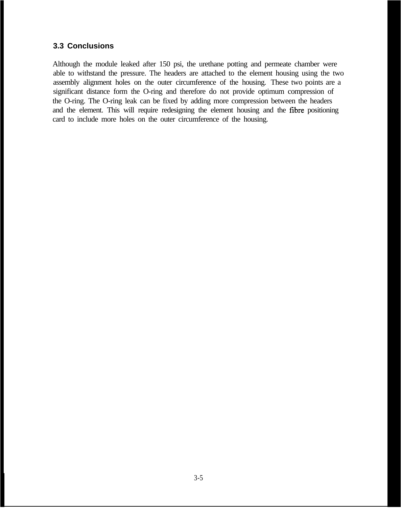#### **3.3 Conclusions**

Although the module leaked after 150 psi, the urethane potting and permeate chamber were able to withstand the pressure. The headers are attached to the element housing using the two assembly alignment holes on the outer circumference of the housing. These two points are a significant distance form the O-ring and therefore do not provide optimum compression of the O-ring. The O-ring leak can be fixed by adding more compression between the headers and the element. This will require redesigning the element housing and the fibre positioning card to include more holes on the outer circumference of the housing.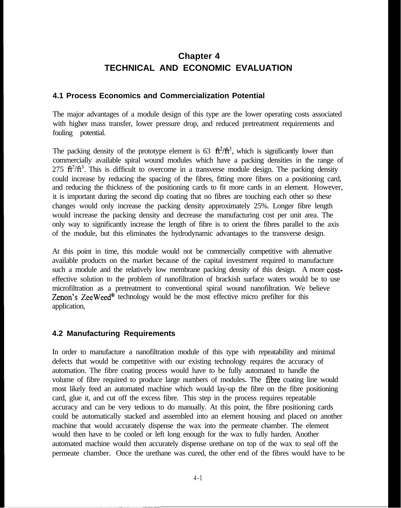## **Chapter 4 TECHNICAL AND ECONOMIC EVALUATION**

#### **4.1 Process Economics and Commercialization Potential**

The major advantages of a module design of this type are the lower operating costs associated with higher mass transfer, lower pressure drop, and reduced pretreatment requirements and fouling potential.

The packing density of the prototype element is  $63 \text{ ft}^2/\text{ft}^3$ , which is significantly lower than commercially available spiral wound modules which have a packing densities in the range of 275  $\text{ft}^2/\text{ft}^3$ . This is difficult to overcome in a transverse module design. The packing density could increase by reducing the spacing of the fibres, fitting more fibres on a positioning card, and reducing the thickness of the positioning cards to fit more cards in an element. However, it is important during the second dip coating that no fibres are touching each other so these changes would only increase the packing density approximately 25%. Longer fibre length would increase the packing density and decrease the manufacturing cost per unit area. The only way to significantly increase the length of fibre is to orient the fibres parallel to the axis of the module, but this eliminates the hydrodynamic advantages to the transverse design.

At this point in time, this module would not be commercially competitive with alternative available products on the market because of the capital investment required to manufacture such a module and the relatively low membrane packing density of this design. A more costeffective solution to the problem of nanofiltration of brackish surface waters would be to use microfiltration as a pretreatment to conventional spiral wound nanofiltration. We believe Zenon's ZeeWeed $^{\circledast}$  technology would be the most effective micro prefilter for this application,

#### **4.2 Manufacturing Requirements**

In order to manufacture a nanofiltration module of this type with repeatability and minimal defects that would be competitive with our existing technology requires the accuracy of automation. The fibre coating process would have to be fully automated to handle the volume of fibre required to produce large numbers of modules. The frbre coating line would most likely feed an automated machine which would lay-up the fibre on the fibre positioning card, glue it, and cut off the excess fibre. This step in the process requires repeatable accuracy and can be very tedious to do manually. At this point, the fibre positioning cards could be automatically stacked and assembled into an element housing and placed on another machine that would accurately dispense the wax into the permeate chamber. The element would then have to be cooled or left long enough for the wax to fully harden. Another automated machine would then accurately dispense urethane on top of the wax to seal off the permeate chamber. Once the urethane was cured, the other end of the fibres would have to be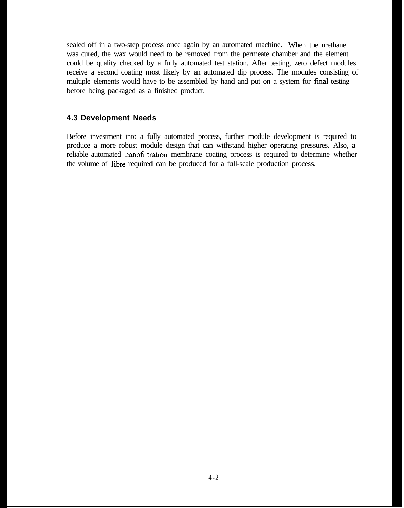sealed off in a two-step process once again by an automated machine. When the urethane was cured, the wax would need to be removed from the permeate chamber and the element could be quality checked by a fully automated test station. After testing, zero defect modules receive a second coating most likely by an automated dip process. The modules consisting of multiple elements would have to be assembled by hand and put on a system for final testing before being packaged as a finished product.

#### **4.3 Development Needs**

Before investment into a fully automated process, further module development is required to produce a more robust module design that can withstand higher operating pressures. Also, a reliable automated nanofiltration membrane coating process is required to determine whether the volume of fibre required can be produced for a full-scale production process.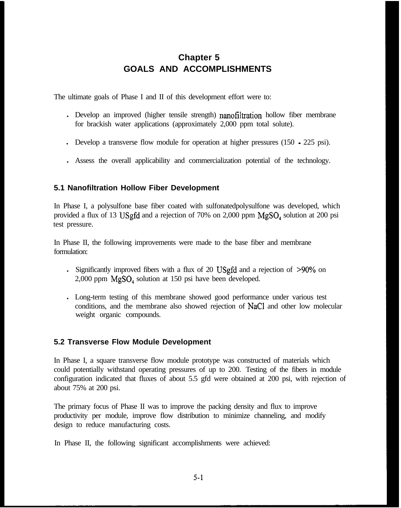# **Chapter 5 GOALS AND ACCOMPLISHMENTS**

The ultimate goals of Phase I and II of this development effort were to:

- . Develop an improved (higher tensile strength) nanofiltration hollow fiber membrane for brackish water applications (approximately 2,000 ppm total solute).
- I Develop a transverse flow module for operation at higher pressures (150 225 psi).
- <sup>l</sup> Assess the overall applicability and commercialization potential of the technology.

#### **5.1 Nanofiltration Hollow Fiber Development**

In Phase I, a polysulfone base fiber coated with sulfonatedpolysulfone was developed, which provided a flux of 13 USgfd and a rejection of 70% on 2,000 ppm  $MgSO<sub>4</sub>$  solution at 200 psi test pressure.

In Phase II, the following improvements were made to the base fiber and membrane formulation:

- If Significantly improved fibers with a flux of 20 USgfd and a rejection of  $>90\%$  on 2,000 ppm MgSO, solution at 150 psi have been developed.
- <sup>l</sup> Long-term testing of this membrane showed good performance under various test conditions, and the membrane also showed rejection of NaCl and other low molecular weight organic compounds.

#### **5.2 Transverse Flow Module Development**

In Phase I, a square transverse flow module prototype was constructed of materials which could potentially withstand operating pressures of up to 200. Testing of the fibers in module configuration indicated that fluxes of about 5.5 gfd were obtained at 200 psi, with rejection of about 75% at 200 psi.

The primary focus of Phase II was to improve the packing density and flux to improve productivity per module, improve flow distribution to minimize channeling, and modify design to reduce manufacturing costs.

In Phase II, the following significant accomplishments were achieved: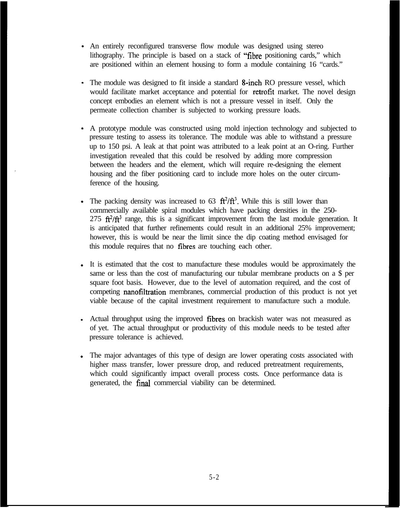- An entirely reconfigured transverse flow module was designed using stereo lithography. The principle is based on a stack of "fibre positioning cards," which are positioned within an element housing to form a module containing 16 "cards."
- The module was designed to fit inside a standard 8-inch RO pressure vessel, which would facilitate market acceptance and potential for retrofit market. The novel design concept embodies an element which is not a pressure vessel in itself. Only the permeate collection chamber is subjected to working pressure loads.
- A prototype module was constructed using mold injection technology and subjected to pressure testing to assess its tolerance. The module was able to withstand a pressure up to 150 psi. A leak at that point was attributed to a leak point at an O-ring. Further investigation revealed that this could be resolved by adding more compression between the headers and the element, which will require re-designing the element housing and the fiber positioning card to include more holes on the outer circumference of the housing.
- The packing density was increased to  $63 \text{ ft}^2/\text{ft}^3$ . While this is still lower than commercially available spiral modules which have packing densities in the 250- 275  $\frac{\hat{\mathbf{n}}^2}{\hat{\mathbf{n}}^3}$  range, this is a significant improvement from the last module generation. It is anticipated that further refinements could result in an additional 25% improvement; however, this is would be near the limit since the dip coating method envisaged for this module requires that no fibres are touching each other.
- It is estimated that the cost to manufacture these modules would be approximately the same or less than the cost of manufacturing our tubular membrane products on a \$ per square foot basis. However, due to the level of automation required, and the cost of competing nanofiltration membranes, commercial production of this product is not yet viable because of the capital investment requirement to manufacture such a module.
- Actual throughput using the improved fibres on brackish water was not measured as of yet. The actual throughput or productivity of this module needs to be tested after pressure tolerance is achieved.
- The major advantages of this type of design are lower operating costs associated with higher mass transfer, lower pressure drop, and reduced pretreatment requirements, which could significantly impact overall process costs. Once performance data is generated, the final commercial viability can be determined.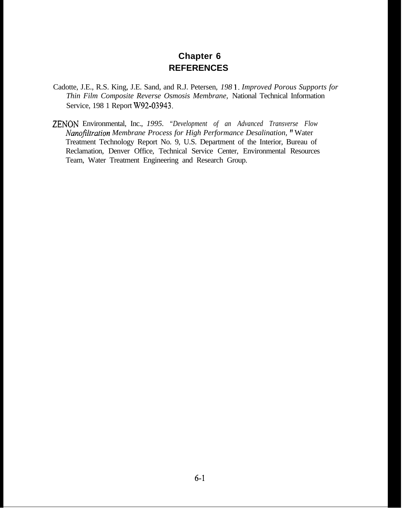#### **Chapter 6 REFERENCES**

- Cadotte, J.E., R.S. King, J.E. Sand, and R.J. Petersen, *198* 1. *Improved Porous Supports for Thin Film Composite Reverse Osmosis Membrane,* National Technical Information Service, 198 1 Report W92-03943.
- ZENON Environmental, Inc., *1995. "Development of an Advanced Transverse Flow Nanofltration Membrane Process for High Performance Desalination,* " Water Treatment Technology Report No. 9, U.S. Department of the Interior, Bureau of Reclamation, Denver Office, Technical Service Center, Environmental Resources Team, Water Treatment Engineering and Research Group.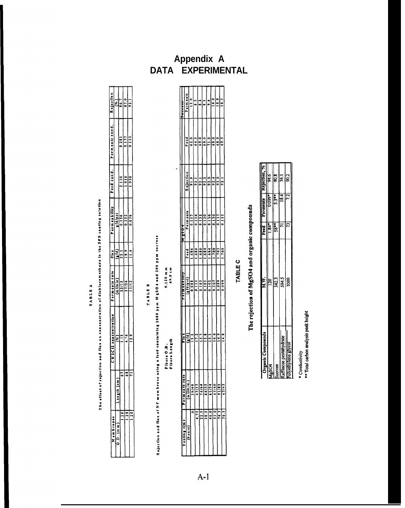|                                   |                |                                                             |                                |               |         |               | Permenbility   Feed cond.   Permente cond. | Rejection     |
|-----------------------------------|----------------|-------------------------------------------------------------|--------------------------------|---------------|---------|---------------|--------------------------------------------|---------------|
| Membranes                         |                | CHICII concentration                                        | hermenter to                   | $\frac{1}{2}$ |         |               |                                            |               |
| 0.0(mm)                           | $L$ ength (cm) | ś                                                           | $\frac{1}{2}$ in $\frac{1}{2}$ | e<br>G        | efd/psi |               |                                            | Ξ             |
|                                   |                | ŝ                                                           | $\frac{1}{1111}$               | 22.2          | 0.150   | $\frac{1}{2}$ | 0.181                                      | $-16.7$       |
|                                   |                | $-16$                                                       | 17/24                          | 19.9          | 0.112   | 1910          | 0.117                                      | 87.0          |
|                                   |                | $\frac{1}{2}$                                               | in:                            | $\frac{1}{1}$ | 0.076   | 1.950         | 0.155                                      | $\frac{1}{2}$ |
|                                   |                |                                                             |                                |               |         |               |                                            |               |
|                                   |                |                                                             |                                |               |         |               |                                            |               |
|                                   |                |                                                             |                                |               |         |               |                                            |               |
|                                   |                |                                                             | TABLE B                        |               |         |               |                                            |               |
| Rejection and flux of NF membrane |                | asing a feed centaining 2000 ppm M 6504 and 200 ppm sucrose |                                |               |         |               |                                            |               |

| $\overline{a}$                                                                                                 |
|----------------------------------------------------------------------------------------------------------------|
|                                                                                                                |
|                                                                                                                |
|                                                                                                                |
|                                                                                                                |
|                                                                                                                |
|                                                                                                                |
|                                                                                                                |
|                                                                                                                |
|                                                                                                                |
|                                                                                                                |
|                                                                                                                |
|                                                                                                                |
| المستخدم المستخدم المستخدم المستخدم المستخدم المستخدم المستخدم المستخدم المستخدم المستخدم المستخدم المستخدم ال |
|                                                                                                                |
|                                                                                                                |
|                                                                                                                |
|                                                                                                                |
|                                                                                                                |
|                                                                                                                |
|                                                                                                                |
|                                                                                                                |
|                                                                                                                |
|                                                                                                                |
|                                                                                                                |
|                                                                                                                |
|                                                                                                                |
|                                                                                                                |
|                                                                                                                |
|                                                                                                                |
|                                                                                                                |
|                                                                                                                |
|                                                                                                                |
| $\frac{1}{2}$                                                                                                  |
|                                                                                                                |
|                                                                                                                |
|                                                                                                                |
|                                                                                                                |
|                                                                                                                |
|                                                                                                                |
|                                                                                                                |
|                                                                                                                |
|                                                                                                                |
|                                                                                                                |
|                                                                                                                |
|                                                                                                                |
|                                                                                                                |
|                                                                                                                |
|                                                                                                                |
|                                                                                                                |
|                                                                                                                |
|                                                                                                                |
|                                                                                                                |
|                                                                                                                |
|                                                                                                                |
|                                                                                                                |
|                                                                                                                |
|                                                                                                                |
|                                                                                                                |
|                                                                                                                |
|                                                                                                                |
|                                                                                                                |
|                                                                                                                |
|                                                                                                                |
|                                                                                                                |
|                                                                                                                |
|                                                                                                                |
|                                                                                                                |
|                                                                                                                |
|                                                                                                                |
|                                                                                                                |
|                                                                                                                |

TABLE A

0.120 mm<br>69.0 cm

| ٠<br>ą<br>Þ. | ٠<br>ē<br>œ<br>د<br>Fibers .<br>Fibers . |
|--------------|------------------------------------------|

| ting time | ermente ra | Elus       | erm e a b lilly                    |                                                                                                                                                                                                                                                                                                                                                                                                                | ļ                                                                                                                                                                                                                                                                                                                                                                                                                                                                          |      |                                                                                                                                                                                                                                                                                         |
|-----------|------------|------------|------------------------------------|----------------------------------------------------------------------------------------------------------------------------------------------------------------------------------------------------------------------------------------------------------------------------------------------------------------------------------------------------------------------------------------------------------------|----------------------------------------------------------------------------------------------------------------------------------------------------------------------------------------------------------------------------------------------------------------------------------------------------------------------------------------------------------------------------------------------------------------------------------------------------------------------------|------|-----------------------------------------------------------------------------------------------------------------------------------------------------------------------------------------------------------------------------------------------------------------------------------------|
|           |            |            |                                    |                                                                                                                                                                                                                                                                                                                                                                                                                |                                                                                                                                                                                                                                                                                                                                                                                                                                                                            | č    |                                                                                                                                                                                                                                                                                         |
|           |            |            | $\frac{\sqrt{8} (d/p + 1)}{0.088}$ |                                                                                                                                                                                                                                                                                                                                                                                                                |                                                                                                                                                                                                                                                                                                                                                                                                                                                                            |      |                                                                                                                                                                                                                                                                                         |
| F,        |            | ᆥ          |                                    | $\begin{array}{l} \frac{1}{2} & \frac{1}{2} & \frac{1}{2} & \frac{1}{2} \\ \frac{1}{2} & \frac{1}{2} & \frac{1}{2} & \frac{1}{2} \\ \frac{1}{2} & \frac{1}{2} & \frac{1}{2} & \frac{1}{2} \\ \frac{1}{2} & \frac{1}{2} & \frac{1}{2} & \frac{1}{2} \\ \frac{1}{2} & \frac{1}{2} & \frac{1}{2} & \frac{1}{2} \\ \frac{1}{2} & \frac{1}{2} & \frac{1}{2} & \frac{1}{2} & \frac{1}{2} \\ \frac{1}{2} & \frac{1}{$ | $\frac{\frac{1}{2} \left( \frac{1}{2} \right) \left( \frac{1}{2} \right) \left( \frac{1}{2} \right) \left( \frac{1}{2} \right) \left( \frac{1}{2} \right) \left( \frac{1}{2} \right) \left( \frac{1}{2} \right) \left( \frac{1}{2} \right) \left( \frac{1}{2} \right) \left( \frac{1}{2} \right) \left( \frac{1}{2} \right) \left( \frac{1}{2} \right) \left( \frac{1}{2} \right) \left( \frac{1}{2} \right) \left( \frac{1}{2} \right) \left( \frac{1}{2} \right) \left($ |      | $\begin{array}{ c c }\n\hline\n\text{Pern site} \\ \hline\n\text{Penn site} \\ \hline\n\text{I} \\ \hline\n\text{B} \\ \hline\n\text{B} \\ \hline\n\text{B} \\ \hline\n\text{B} \\ \hline\n\text{B} \\ \hline\n\text{B} \\ \hline\n\text{B} \\ \hline\n\text{B} \\ \hline\n\end{array}$ |
| ្អ        |            |            |                                    |                                                                                                                                                                                                                                                                                                                                                                                                                |                                                                                                                                                                                                                                                                                                                                                                                                                                                                            |      |                                                                                                                                                                                                                                                                                         |
|           |            | 3563       | 222222<br> -<br> - - - - - -       |                                                                                                                                                                                                                                                                                                                                                                                                                |                                                                                                                                                                                                                                                                                                                                                                                                                                                                            |      | $ \mathbb{S} $                                                                                                                                                                                                                                                                          |
|           |            |            |                                    |                                                                                                                                                                                                                                                                                                                                                                                                                |                                                                                                                                                                                                                                                                                                                                                                                                                                                                            |      |                                                                                                                                                                                                                                                                                         |
|           |            |            |                                    |                                                                                                                                                                                                                                                                                                                                                                                                                |                                                                                                                                                                                                                                                                                                                                                                                                                                                                            |      | $\frac{1}{2}$                                                                                                                                                                                                                                                                           |
|           |            |            |                                    | $\frac{1}{20}$                                                                                                                                                                                                                                                                                                                                                                                                 |                                                                                                                                                                                                                                                                                                                                                                                                                                                                            |      | $\frac{6}{10}$                                                                                                                                                                                                                                                                          |
| Ş         |            | $\ddot{=}$ | 6600                               | 1.700                                                                                                                                                                                                                                                                                                                                                                                                          | E                                                                                                                                                                                                                                                                                                                                                                                                                                                                          | 69.5 | $\frac{3}{2}$                                                                                                                                                                                                                                                                           |
|           |            |            |                                    |                                                                                                                                                                                                                                                                                                                                                                                                                |                                                                                                                                                                                                                                                                                                                                                                                                                                                                            |      |                                                                                                                                                                                                                                                                                         |

# **TABLE C**

# The rejection of MgSO4 and organic compounds

| Organic Compounds | પ્રાપ્ત<br>સં | Ecd                           | Permeate  | kejection, % |
|-------------------|---------------|-------------------------------|-----------|--------------|
| $485$ CA          | $\mathbb{E}$  | - 28.1                        | huy.      | 9.56         |
| verose            | 342.3         | $\mathbf{L} \cdot \mathbf{S}$ | $1 + 5.5$ | 50.          |
| $-030P$           | 594.5         |                               | ≊         |              |
| ylene giycol      | 8<br>S        |                               | ļ<br>ì    | بر<br>چ      |
|                   |               |                               |           |              |

\* Conductivity<br>\*\* Total carbon analysis peak height

# **Appendix A DATA EXPERIMENTAL**

 $A-1$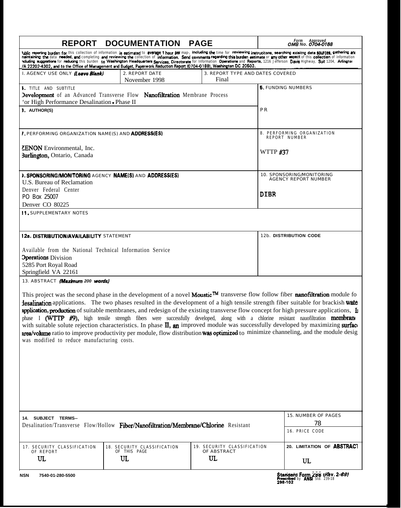| <b>REPORT</b>                                                                                                                                                                                                                                                                                                                                             | <b>DOCUMENTATION</b>                              | <b>PAGE</b>                                      | Form Approved<br>OMB No. 0704-0188<br>tublic reporting burden for this collection of information is estimated to average 1 hour per map-, including the time for reviewing instrucitons, searching exisitng data sources, gathering axt                                                                                                                                                                                                                                                                                                                  |
|-----------------------------------------------------------------------------------------------------------------------------------------------------------------------------------------------------------------------------------------------------------------------------------------------------------------------------------------------------------|---------------------------------------------------|--------------------------------------------------|----------------------------------------------------------------------------------------------------------------------------------------------------------------------------------------------------------------------------------------------------------------------------------------------------------------------------------------------------------------------------------------------------------------------------------------------------------------------------------------------------------------------------------------------------------|
| /A 22202-4302, and to the Office of Management and Budget, Paperwork Reduction Report (0704-0188), Washington DC 20503.<br>I. AGENCY USE ONLY <i>(Leave Blank)</i>                                                                                                                                                                                        | 2. REPORT DATE                                    | 3. REPORT TYPE AND DATES COVERED                 | neintaining the data needed, and completing and reviewing the collection of information. Send comments regarding this burden estimate or any other aspect of this collection of information<br>ncluding suggestions for reducing this burden to Washington Headquarters Services, Directorate for Information Operations and Reports, 1216 Jefferson Davis Highway, Suit 1204, Arlingtor                                                                                                                                                                 |
| <b>I.</b> TITLE AND SUBTITLE<br>Development of an Advanced Transverse Flow Nanofiltration Membrane Process<br>'or High Performance Desalination - Phase II                                                                                                                                                                                                | November 1998                                     | Final                                            | <b>5. FUNDING NUMBERS</b>                                                                                                                                                                                                                                                                                                                                                                                                                                                                                                                                |
|                                                                                                                                                                                                                                                                                                                                                           |                                                   |                                                  | PR                                                                                                                                                                                                                                                                                                                                                                                                                                                                                                                                                       |
|                                                                                                                                                                                                                                                                                                                                                           |                                                   |                                                  |                                                                                                                                                                                                                                                                                                                                                                                                                                                                                                                                                          |
|                                                                                                                                                                                                                                                                                                                                                           |                                                   |                                                  | 8. PERFORMING ORGANIZATION<br>REPORT NUMBER                                                                                                                                                                                                                                                                                                                                                                                                                                                                                                              |
|                                                                                                                                                                                                                                                                                                                                                           |                                                   |                                                  | <b>WTTP #37</b>                                                                                                                                                                                                                                                                                                                                                                                                                                                                                                                                          |
|                                                                                                                                                                                                                                                                                                                                                           |                                                   |                                                  | 10. SPONSORING/MONITORING<br>AGENCY REPORT NUMBER                                                                                                                                                                                                                                                                                                                                                                                                                                                                                                        |
|                                                                                                                                                                                                                                                                                                                                                           |                                                   |                                                  | DIBR                                                                                                                                                                                                                                                                                                                                                                                                                                                                                                                                                     |
|                                                                                                                                                                                                                                                                                                                                                           |                                                   |                                                  |                                                                                                                                                                                                                                                                                                                                                                                                                                                                                                                                                          |
|                                                                                                                                                                                                                                                                                                                                                           |                                                   |                                                  | 12b. DISTRIBUTION CODE                                                                                                                                                                                                                                                                                                                                                                                                                                                                                                                                   |
| <b>ZENON</b> Environmental, Inc.<br>Burlington, Ontario, Canada<br>U.S. Bureau of Reclamation<br>Denver Federal Center<br>PO Box 25007<br>Denver CO 80225<br><b>11 SUPPLEMENTARY NOTES</b><br>12a. DISTRIBUTION/AVAILABILITY STATEMENT<br>Available from the National Technical Information Service<br><b>Operations</b> Division<br>5285 Port Royal Road |                                                   |                                                  |                                                                                                                                                                                                                                                                                                                                                                                                                                                                                                                                                          |
| Springfield VA 22161<br>13. ABSTRACT (Maximum 200 words)                                                                                                                                                                                                                                                                                                  |                                                   |                                                  | This project was the second phase in the development of a novel Moustic™ transverse flow follow fiber nanofiltration module fo<br>desalination applications. The two phases resulted in the development of a high tensile strength fiber suitable for brackish wate                                                                                                                                                                                                                                                                                      |
| 3. AUTHOR(S)<br><b>7. PERFORMING ORGANIZATION NAME(S) AND ADDRESSIES)</b><br>was modified to reduce manufacturing costs.                                                                                                                                                                                                                                  |                                                   |                                                  | application, production of suitable membranes, and redesign of the existing transverse flow concept for high pressure applications, In<br>phase I (WTTP #9), high tensile strength fibers were successfully developed, along with a chlorine resistant nauofiltration membrane<br>with suitable solute rejection characteristics. In phase II, an improved module was successfully developed by maximizing surface<br>area/volume ratio to improve productivity per module, flow distribution was optimized to minimize channeling, and the module desig |
|                                                                                                                                                                                                                                                                                                                                                           |                                                   |                                                  |                                                                                                                                                                                                                                                                                                                                                                                                                                                                                                                                                          |
| 3. SPONSORING/MONITORING AGENCY NAME(S) AND ADDRESS(ES)                                                                                                                                                                                                                                                                                                   |                                                   |                                                  |                                                                                                                                                                                                                                                                                                                                                                                                                                                                                                                                                          |
| 14. SUBJECT TERMS--<br>Desalination/Transverse Flow/Hollow Fiber/Nanofiltration/Membrane/Chlorine Resistant                                                                                                                                                                                                                                               |                                                   |                                                  | 15. NUMBER OF PAGES<br>78<br>16. PRICE CODE                                                                                                                                                                                                                                                                                                                                                                                                                                                                                                              |
| 17. SECURITY CLASSIFICATION<br>OF REPORT<br>UL                                                                                                                                                                                                                                                                                                            | 18. SECURITY CLASSIFICATION<br>OF THIS PAGE<br>UL | 19. SECURITY CLASSIFICATION<br>OF ABSTRACT<br>UL | 20. LIMITATION OF ABSTRACT<br>UL                                                                                                                                                                                                                                                                                                                                                                                                                                                                                                                         |